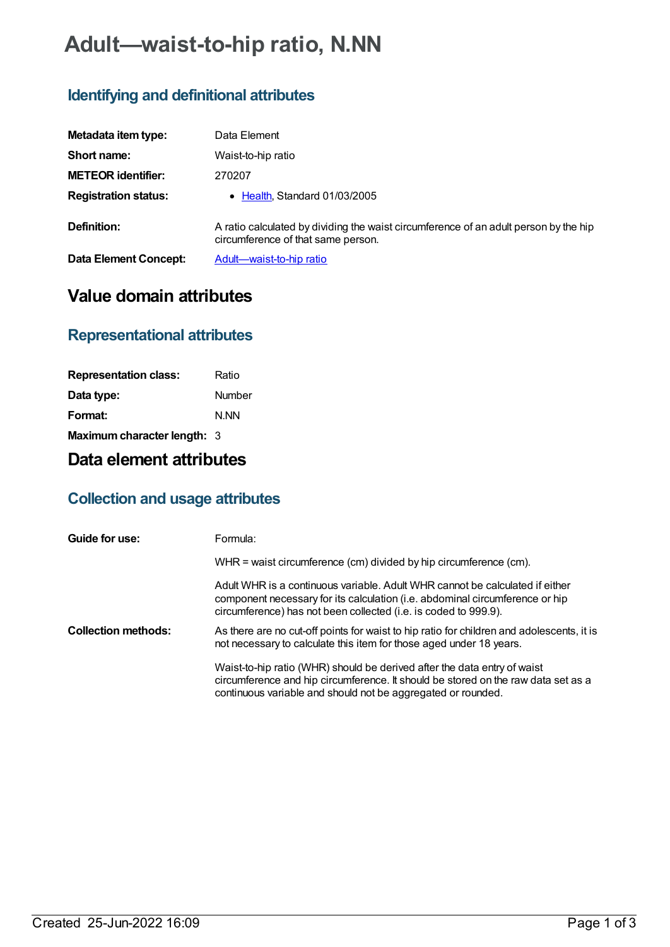# **Adult—waist-to-hip ratio, N.NN**

### **Identifying and definitional attributes**

| Metadata item type:          | Data Element                                                                                                               |
|------------------------------|----------------------------------------------------------------------------------------------------------------------------|
| Short name:                  | Waist-to-hip ratio                                                                                                         |
| <b>METEOR identifier:</b>    | 270207                                                                                                                     |
| <b>Registration status:</b>  | • Health, Standard 01/03/2005                                                                                              |
| Definition:                  | A ratio calculated by dividing the waist circumference of an adult person by the hip<br>circumference of that same person. |
| <b>Data Element Concept:</b> | Adult-waist-to-hip ratio                                                                                                   |

## **Value domain attributes**

#### **Representational attributes**

| <b>Representation class:</b> | Ratio  |
|------------------------------|--------|
| Data type:                   | Number |
| Format:                      | N.NN   |
| Maximum character length: 3  |        |

### **Data element attributes**

#### **Collection and usage attributes**

| Guide for use:             | Formula:                                                                                                                                                                                                                        |
|----------------------------|---------------------------------------------------------------------------------------------------------------------------------------------------------------------------------------------------------------------------------|
|                            | WHR = waist circumference (cm) divided by hip circumference (cm).                                                                                                                                                               |
|                            | Adult WHR is a continuous variable. Adult WHR cannot be calculated if either<br>component necessary for its calculation (i.e. abdominal circumference or hip<br>circumference) has not been collected (i.e. is coded to 999.9). |
| <b>Collection methods:</b> | As there are no cut-off points for waist to hip ratio for children and adolescents, it is<br>not necessary to calculate this item for those aged under 18 years.                                                                |
|                            | Waist-to-hip ratio (WHR) should be derived after the data entry of waist<br>circumference and hip circumference. It should be stored on the raw data set as a<br>continuous variable and should not be aggregated or rounded.   |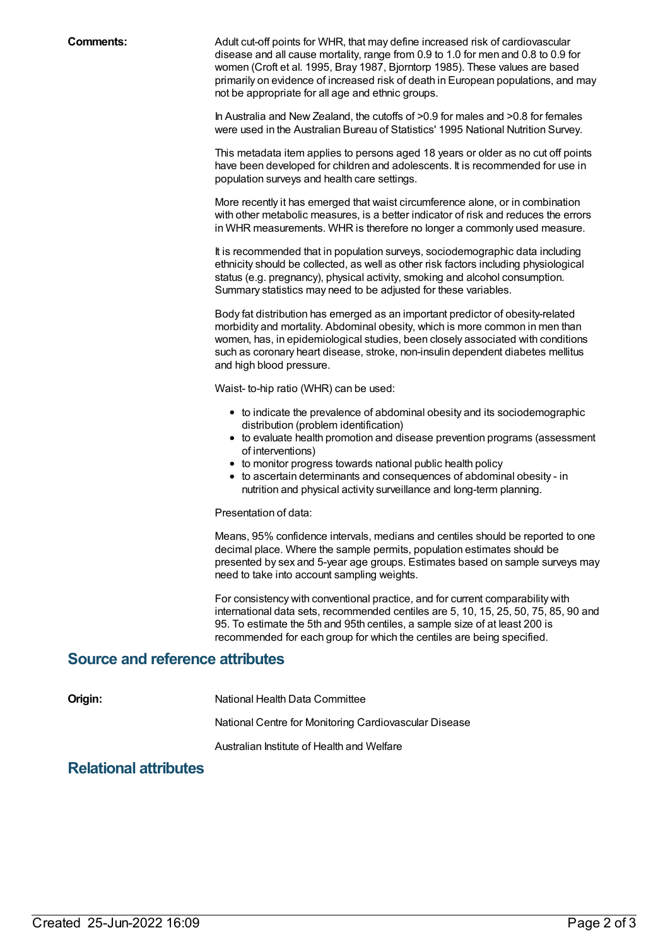**Comments:** Adult cut-off points for WHR, that may define increased risk of cardiovascular disease and all cause mortality, range from 0.9 to 1.0 for men and 0.8 to 0.9 for women (Croft et al. 1995, Bray 1987, Bjorntorp 1985). These values are based primarily on evidence of increased risk of death in European populations, and may not be appropriate for all age and ethnic groups.

> In Australia and New Zealand, the cutoffs of >0.9 for males and >0.8 for females were used in the Australian Bureau of Statistics' 1995 National Nutrition Survey.

This metadata item applies to persons aged 18 years or older as no cut off points have been developed for children and adolescents. It is recommended for use in population surveys and health care settings.

More recently it has emerged that waist circumference alone, or in combination with other metabolic measures, is a better indicator of risk and reduces the errors in WHR measurements. WHR is therefore no longer a commonly used measure.

It is recommended that in population surveys, sociodemographic data including ethnicity should be collected, as well as other risk factors including physiological status (e.g. pregnancy), physical activity, smoking and alcohol consumption. Summary statistics may need to be adjusted for these variables.

Body fat distribution has emerged as an important predictor of obesity-related morbidity and mortality. Abdominal obesity, which is more common in men than women, has, in epidemiological studies, been closely associated with conditions such as coronary heart disease, stroke, non-insulin dependent diabetes mellitus and high blood pressure.

Waist- to-hip ratio (WHR) can be used:

- to indicate the prevalence of abdominal obesity and its sociodemographic distribution (problem identification)
- to evaluate health promotion and disease prevention programs (assessment of interventions)
- to monitor progress towards national public health policy
- to ascertain determinants and consequences of abdominal obesity in nutrition and physical activity surveillance and long-term planning.

#### Presentation of data:

Means, 95% confidence intervals, medians and centiles should be reported to one decimal place. Where the sample permits, population estimates should be presented by sex and 5-year age groups. Estimates based on sample surveys may need to take into account sampling weights.

For consistency with conventional practice, and for current comparability with international data sets, recommended centiles are 5, 10, 15, 25, 50, 75, 85, 90 and 95. To estimate the 5th and 95th centiles, a sample size of at least 200 is recommended for each group for which the centiles are being specified.

#### **Source and reference attributes**

**Origin:** National Health Data Committee

National Centre for Monitoring Cardiovascular Disease

Australian Institute of Health and Welfare

#### **Relational attributes**